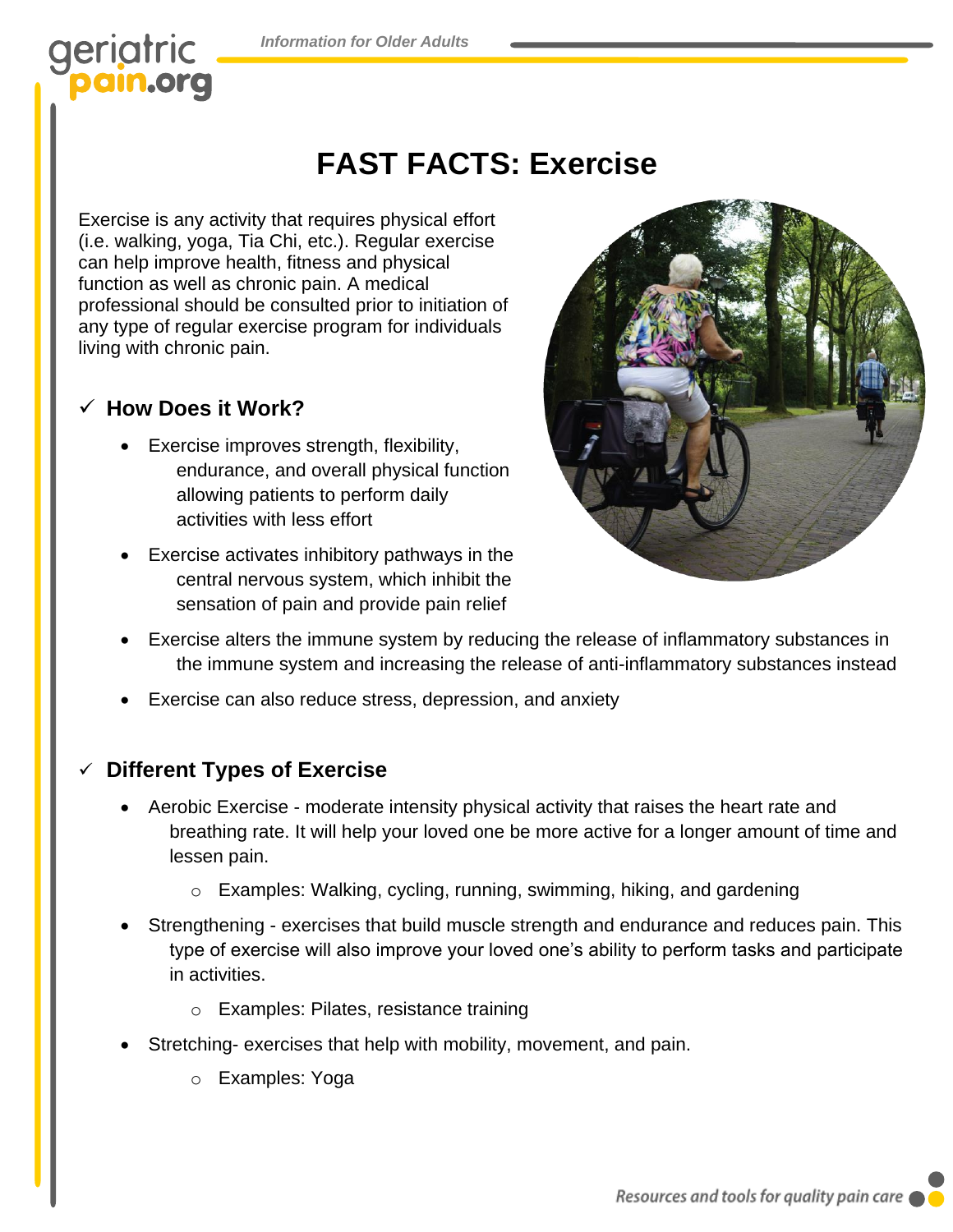*Information for Older Adults*

# geriatric

# **FAST FACTS: Exercise**

Exercise is any activity that requires physical effort (i.e. walking, yoga, Tia Chi, etc.). Regular exercise can help improve health, fitness and physical function as well as chronic pain. A medical professional should be consulted prior to initiation of any type of regular exercise program for individuals living with chronic pain.

## ✓ **How Does it Work?**

- Exercise improves strength, flexibility, endurance, and overall physical function allowing patients to perform daily activities with less effort
- Exercise activates inhibitory pathways in the central nervous system, which inhibit the sensation of pain and provide pain relief



- Exercise alters the immune system by reducing the release of inflammatory substances in the immune system and increasing the release of anti-inflammatory substances instead
- Exercise can also reduce stress, depression, and anxiety

# **Different Types of Exercise**

- Aerobic Exercise moderate intensity physical activity that raises the heart rate and breathing rate. It will help your loved one be more active for a longer amount of time and lessen pain.
	- o Examples: Walking, cycling, running, swimming, hiking, and gardening
- Strengthening exercises that build muscle strength and endurance and reduces pain. This type of exercise will also improve your loved one's ability to perform tasks and participate in activities.
	- o Examples: Pilates, resistance training
- Stretching- exercises that help with mobility, movement, and pain.
	- o Examples: Yoga